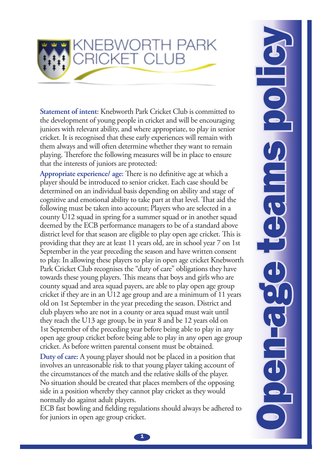

**Statement of intent:** Knebworth Park Cricket Club is committed to the development of young people in cricket and will be encouraging juniors with relevant ability, and where appropriate, to play in senior cricket. It is recognised that these early experiences will remain with them always and will often determine whether they want to remain playing. Therefore the following measures will be in place to ensure that the interests of juniors are protected:

**Appropriate experience/ age:** There is no definitive age at which a player should be introduced to senior cricket. Each case should be determined on an individual basis depending on ability and stage of cognitive and emotional ability to take part at that level. That aid the following must be taken into account; Players who are selected in a county U12 squad in spring for a summer squad or in another squad deemed by the ECB performance managers to be of a standard above district level for that season are eligible to play open age cricket. This is providing that they are at least 11 years old, are in school year 7 on 1st September in the year preceding the season and have written consent to play. In allowing these players to play in open age cricket Knebworth Park Cricket Club recognises the "duty of care" obligations they have towards these young players. This means that boys and girls who are county squad and area squad payers, are able to play open age group cricket if they are in an U12 age group and are a minimum of 11 years old on 1st September in the year preceding the season. District and club players who are not in a county or area squad must wait until they reach the U13 age group, be in year 8 and be 12 years old on 1st September of the preceding year before being able to play in any open age group cricket before being able to play in any open age group cricket. As before written parental consent must be obtained.

**Duty of care:** A young player should not be placed in a position that involves an unreasonable risk to that young player taking account of the circumstances of the match and the relative skills of the player. No situation should be created that places members of the opposing side in a position whereby they cannot play cricket as they would normally do against adult players.

ECB fast bowling and fielding regulations should always be adhered to for juniors in open age group cricket.

Open-age teams policy